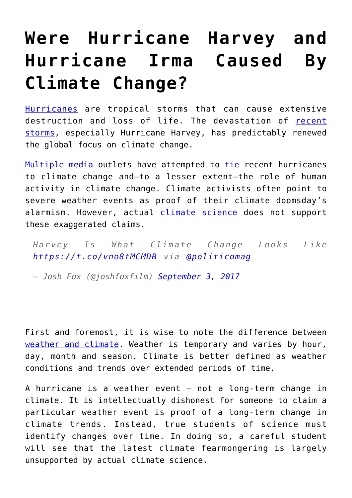## **[Were Hurricane Harvey and](https://intellectualtakeout.org/2017/09/were-hurricane-harvey-and-hurricane-irma-caused-by-climate-change/) [Hurricane Irma Caused By](https://intellectualtakeout.org/2017/09/were-hurricane-harvey-and-hurricane-irma-caused-by-climate-change/) [Climate Change?](https://intellectualtakeout.org/2017/09/were-hurricane-harvey-and-hurricane-irma-caused-by-climate-change/)**

[Hurricanes](https://oceanservice.noaa.gov/facts/hurricane.html) are tropical storms that can cause extensive destruction and loss of life. The devastation of [recent](https://www.theguardian.com/commentisfree/2017/aug/28/climate-change-hurricane-harvey-more-deadly) [storms,](https://www.theguardian.com/commentisfree/2017/aug/28/climate-change-hurricane-harvey-more-deadly) especially Hurricane Harvey, has predictably renewed the global focus on climate change.

[Multiple](http://www.politico.com/magazine/story/2017/08/28/climate-change-hurricane-harvey-215547) [media](https://www.usatoday.com/story/opinion/2017/08/30/climate-change-juiced-hurricane-harvey-editorials-debates/105130334/) outlets have attempted to [tie](http://www.bbc.com/news/science-environment-41082668) recent hurricanes to climate change and—to a lesser extent—the role of human activity in climate change. Climate activists often point to severe weather events as proof of their climate doomsday's alarmism. However, actual [climate science](https://www.gfdl.noaa.gov/global-warming-and-hurricanes/) does not support these exaggerated claims.

*Harvey Is What Climate Change Looks Like <https://t.co/vno8tMCMDB> via [@politicomag](https://twitter.com/POLITICOMag)*

*— Josh Fox (@joshfoxfilm) [September 3, 2017](https://twitter.com/joshfoxfilm/status/904254027688546304)*

First and foremost, it is wise to note the difference between [weather and climate](https://www.nasa.gov/mission_pages/noaa-n/climate/climate_weather.html). Weather is temporary and varies by hour, day, month and season. Climate is better defined as weather conditions and trends over extended periods of time.

A hurricane is a weather event – not a long-term change in climate. It is intellectually dishonest for someone to claim a particular weather event is proof of a long-term change in climate trends. Instead, true students of science must identify changes over time. In doing so, a careful student will see that the latest climate fearmongering is largely unsupported by actual climate science.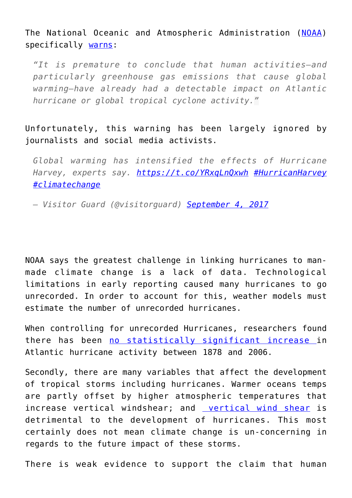The National Oceanic and Atmospheric Administration ([NOAA\)](http://www.noaa.gov/) specifically [warns:](https://www.gfdl.noaa.gov/global-warming-and-hurricanes/)

*"It is premature to conclude that human activities–and particularly greenhouse gas emissions that cause global warming–have already had a detectable impact on Atlantic hurricane or global tropical cyclone activity."*

Unfortunately, this warning has been largely ignored by journalists and social media activists.

*Global warming has intensified the effects of Hurricane Harvey, experts say.<https://t.co/YRxqLnQxwh> [#HurricanHarvey](https://twitter.com/hashtag/HurricanHarvey?src=hash) [#climatechange](https://twitter.com/hashtag/climatechange?src=hash)*

*— Visitor Guard (@visitorguard) [September 4, 2017](https://twitter.com/visitorguard/status/904705739700273152)*

NOAA says the greatest challenge in linking hurricanes to manmade climate change is a lack of data. Technological limitations in early reporting caused many hurricanes to go unrecorded. In order to account for this, weather models must estimate the number of unrecorded hurricanes.

When controlling for unrecorded Hurricanes, researchers found there has been [no statistically significant increase i](http://journals.ametsoc.org/doi/full/10.1175/2009JCLI3034.1)n Atlantic hurricane activity between 1878 and 2006.

Secondly, there are many variables that affect the development of tropical storms including hurricanes. Warmer oceans temps are partly offset by higher atmospheric temperatures that increase vertical windshear; and [vertical wind shear](http://onlinelibrary.wiley.com/wol1/doi/10.1029/2006GL028905/full) is detrimental to the development of hurricanes. This most certainly does not mean climate change is un-concerning in regards to the future impact of these storms.

There is weak evidence to support the claim that human